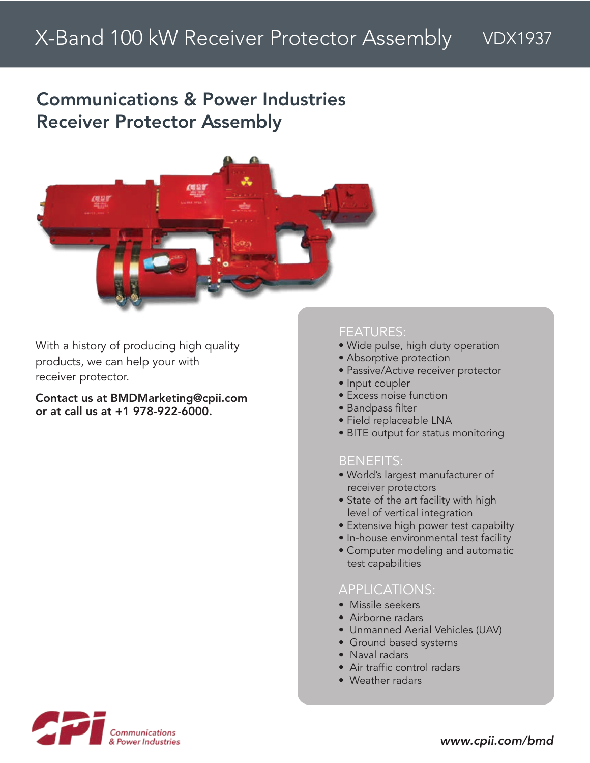# Communications & Power Industries Receiver Protector Assembly



With a history of producing high quality products, we can help your with receiver protector.

Contact us at BMDMarketing@cpii.com or at call us at +1 978-922-6000.

#### FEATURES:

- Wide pulse, high duty operation
- Absorptive protection
- Passive/Active receiver protector
- Input coupler
- Excess noise function
- Bandpass filter
- Field replaceable LNA
- BITE output for status monitoring

#### BENEFITS:

- World's largest manufacturer of receiver protectors
- State of the art facility with high level of vertical integration
- Extensive high power test capabilty
- In-house environmental test facility
- Computer modeling and automatic test capabilities

#### APPLICATIONS:

- Missile seekers
- Airborne radars
- Unmanned Aerial Vehicles (UAV)
- Ground based systems
- Naval radars
- Air traffic control radars
- Weather radars

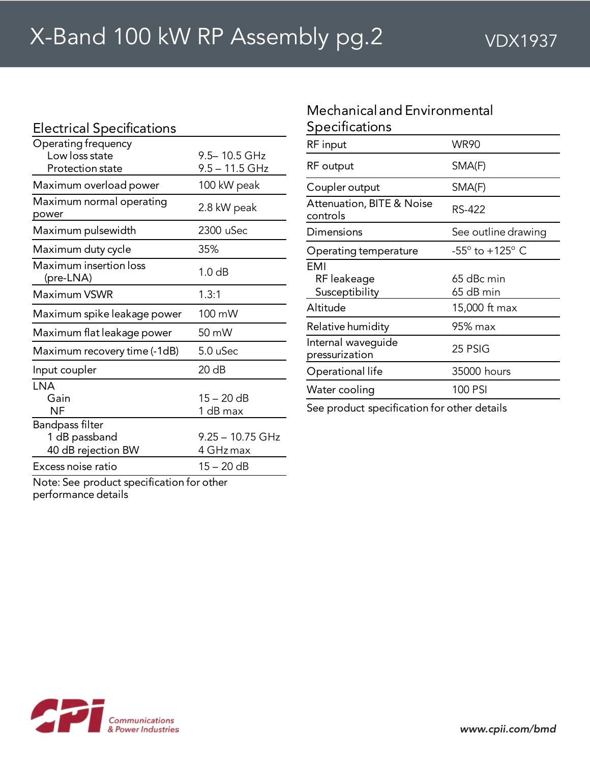| <b>Electrical Specifications</b>                                 |                                |
|------------------------------------------------------------------|--------------------------------|
| Operating frequency<br>Low loss state<br><b>Protection state</b> | 9.5-10.5 GHz<br>9.5 – 11.5 GHz |
| Maximum overload power                                           | 100 kW peak                    |
| Maximum normal operating<br>power                                | 2.8 kW peak                    |
| Maximum pulsewidth                                               | 2300 uSec                      |
| Maximum duty cycle                                               | 35%                            |
| Maximum insertion loss<br>(pre-LNA)                              | 1.0 <sub>dB</sub>              |
| Maximum VSWR                                                     | 1.3:1                          |
| Maximum spike leakage power                                      | 100 mW                         |
| Maximum flat leakage power                                       | $50 \text{ mW}$                |
| Maximum recovery time (-1dB)                                     | 5.0 uSec                       |
| Input coupler                                                    | 20 dB                          |
| <b>LNA</b><br>Gain<br>NF                                         | $15 - 20$ dB<br>1 dB max       |
| Bandpass filter<br>1 dB passband<br>40 dB rejection BW           | 9.25 - 10.75 GHz<br>4 GHz max  |
| Excess noise ratio                                               | $15 - 20$ dB                   |
|                                                                  |                                |

### Mechanicaland Environmental Specifications

| RF input                                         | <b>WR90</b>                        |
|--------------------------------------------------|------------------------------------|
| RF output                                        | SMA(F)                             |
| Coupler output                                   | SMA(F)                             |
| <b>Attenuation, BITE &amp; Noise</b><br>controls | RS-422                             |
| Dimensions                                       | See outline drawing                |
| Operating temperature                            | $-55^{\circ}$ to $+125^{\circ}$ C. |
| FMI                                              |                                    |
| RF leakeage                                      | 65 dBc min                         |
| Susceptibility                                   | 65 dB min                          |
| Altitude                                         | 15,000 ft max                      |
| Relative humidity                                | 95% max                            |
| Internal waveguide<br>pressurization             | 25 PSIG                            |
| Operational life                                 | 35000 hours                        |
| Water cooling                                    | 100 PSI                            |
|                                                  |                                    |

See product specification for other details

Note: See product specification for other performance details